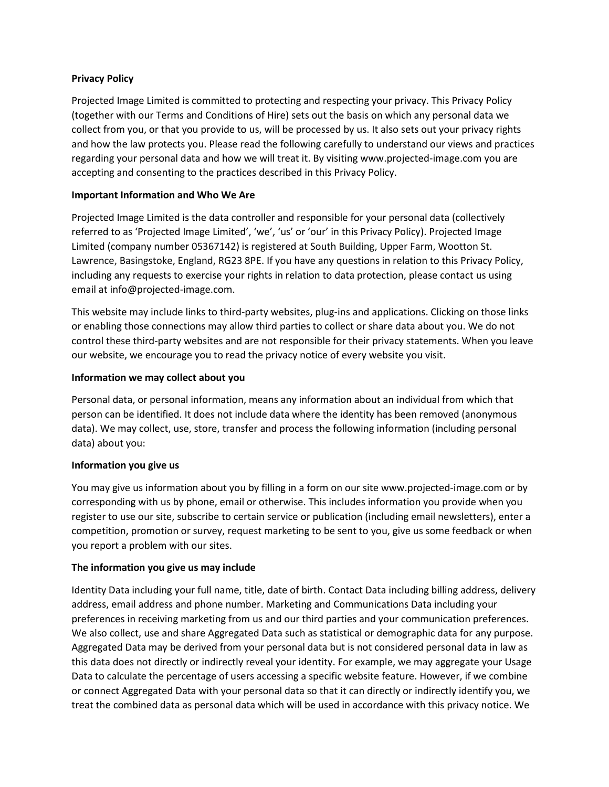#### **Privacy Policy**

Projected Image Limited is committed to protecting and respecting your privacy. This Privacy Policy (together with our Terms and Conditions of Hire) sets out the basis on which any personal data we collect from you, or that you provide to us, will be processed by us. It also sets out your privacy rights and how the law protects you. Please read the following carefully to understand our views and practices regarding your personal data and how we will treat it. By visiting www.projected-image.com you are accepting and consenting to the practices described in this Privacy Policy.

## **Important Information and Who We Are**

Projected Image Limited is the data controller and responsible for your personal data (collectively referred to as 'Projected Image Limited', 'we', 'us' or 'our' in this Privacy Policy). Projected Image Limited (company number 05367142) is registered at South Building, Upper Farm, Wootton St. Lawrence, Basingstoke, England, RG23 8PE. If you have any questions in relation to this Privacy Policy, including any requests to exercise your rights in relation to data protection, please contact us using email at info@projected-image.com.

This website may include links to third-party websites, plug-ins and applications. Clicking on those links or enabling those connections may allow third parties to collect or share data about you. We do not control these third-party websites and are not responsible for their privacy statements. When you leave our website, we encourage you to read the privacy notice of every website you visit.

## **Information we may collect about you**

Personal data, or personal information, means any information about an individual from which that person can be identified. It does not include data where the identity has been removed (anonymous data). We may collect, use, store, transfer and process the following information (including personal data) about you:

#### **Information you give us**

You may give us information about you by filling in a form on our site www.projected-image.com or by corresponding with us by phone, email or otherwise. This includes information you provide when you register to use our site, subscribe to certain service or publication (including email newsletters), enter a competition, promotion or survey, request marketing to be sent to you, give us some feedback or when you report a problem with our sites.

#### **The information you give us may include**

Identity Data including your full name, title, date of birth. Contact Data including billing address, delivery address, email address and phone number. Marketing and Communications Data including your preferences in receiving marketing from us and our third parties and your communication preferences. We also collect, use and share Aggregated Data such as statistical or demographic data for any purpose. Aggregated Data may be derived from your personal data but is not considered personal data in law as this data does not directly or indirectly reveal your identity. For example, we may aggregate your Usage Data to calculate the percentage of users accessing a specific website feature. However, if we combine or connect Aggregated Data with your personal data so that it can directly or indirectly identify you, we treat the combined data as personal data which will be used in accordance with this privacy notice. We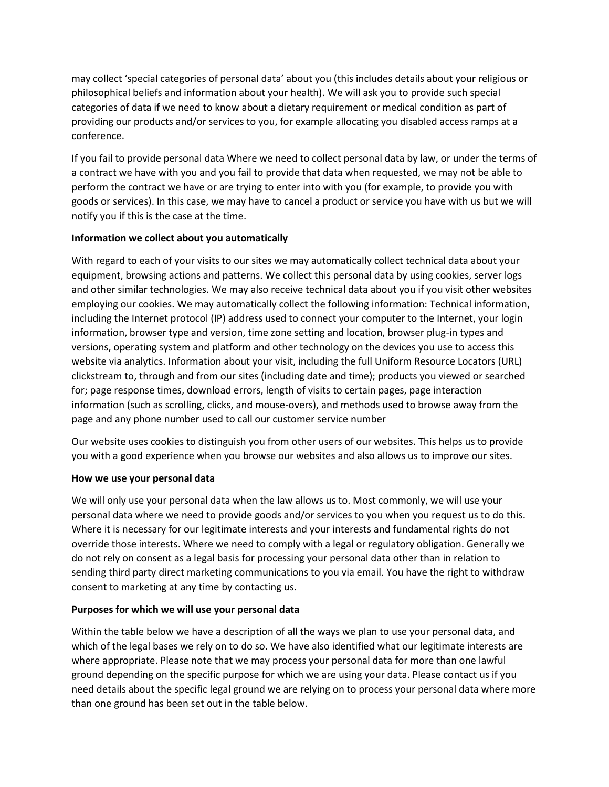may collect 'special categories of personal data' about you (this includes details about your religious or philosophical beliefs and information about your health). We will ask you to provide such special categories of data if we need to know about a dietary requirement or medical condition as part of providing our products and/or services to you, for example allocating you disabled access ramps at a conference.

If you fail to provide personal data Where we need to collect personal data by law, or under the terms of a contract we have with you and you fail to provide that data when requested, we may not be able to perform the contract we have or are trying to enter into with you (for example, to provide you with goods or services). In this case, we may have to cancel a product or service you have with us but we will notify you if this is the case at the time.

## **Information we collect about you automatically**

With regard to each of your visits to our sites we may automatically collect technical data about your equipment, browsing actions and patterns. We collect this personal data by using cookies, server logs and other similar technologies. We may also receive technical data about you if you visit other websites employing our cookies. We may automatically collect the following information: Technical information, including the Internet protocol (IP) address used to connect your computer to the Internet, your login information, browser type and version, time zone setting and location, browser plug-in types and versions, operating system and platform and other technology on the devices you use to access this website via analytics. Information about your visit, including the full Uniform Resource Locators (URL) clickstream to, through and from our sites (including date and time); products you viewed or searched for; page response times, download errors, length of visits to certain pages, page interaction information (such as scrolling, clicks, and mouse-overs), and methods used to browse away from the page and any phone number used to call our customer service number

Our website uses cookies to distinguish you from other users of our websites. This helps us to provide you with a good experience when you browse our websites and also allows us to improve our sites.

# **How we use your personal data**

We will only use your personal data when the law allows us to. Most commonly, we will use your personal data where we need to provide goods and/or services to you when you request us to do this. Where it is necessary for our legitimate interests and your interests and fundamental rights do not override those interests. Where we need to comply with a legal or regulatory obligation. Generally we do not rely on consent as a legal basis for processing your personal data other than in relation to sending third party direct marketing communications to you via email. You have the right to withdraw consent to marketing at any time by contacting us.

# **Purposes for which we will use your personal data**

Within the table below we have a description of all the ways we plan to use your personal data, and which of the legal bases we rely on to do so. We have also identified what our legitimate interests are where appropriate. Please note that we may process your personal data for more than one lawful ground depending on the specific purpose for which we are using your data. Please contact us if you need details about the specific legal ground we are relying on to process your personal data where more than one ground has been set out in the table below.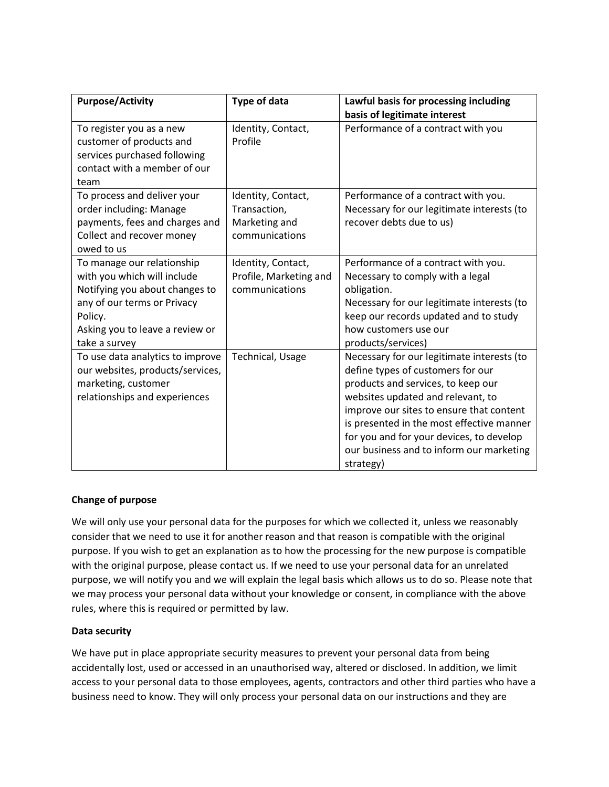| <b>Purpose/Activity</b>                                                                                                                                                                   | Type of data                                                          | Lawful basis for processing including<br>basis of legitimate interest                                                                                                                                                                                                                                                                                    |
|-------------------------------------------------------------------------------------------------------------------------------------------------------------------------------------------|-----------------------------------------------------------------------|----------------------------------------------------------------------------------------------------------------------------------------------------------------------------------------------------------------------------------------------------------------------------------------------------------------------------------------------------------|
| To register you as a new<br>customer of products and<br>services purchased following<br>contact with a member of our<br>team                                                              | Identity, Contact,<br>Profile                                         | Performance of a contract with you                                                                                                                                                                                                                                                                                                                       |
| To process and deliver your<br>order including: Manage<br>payments, fees and charges and<br>Collect and recover money<br>owed to us                                                       | Identity, Contact,<br>Transaction,<br>Marketing and<br>communications | Performance of a contract with you.<br>Necessary for our legitimate interests (to<br>recover debts due to us)                                                                                                                                                                                                                                            |
| To manage our relationship<br>with you which will include<br>Notifying you about changes to<br>any of our terms or Privacy<br>Policy.<br>Asking you to leave a review or<br>take a survey | Identity, Contact,<br>Profile, Marketing and<br>communications        | Performance of a contract with you.<br>Necessary to comply with a legal<br>obligation.<br>Necessary for our legitimate interests (to<br>keep our records updated and to study<br>how customers use our<br>products/services)                                                                                                                             |
| To use data analytics to improve<br>our websites, products/services,<br>marketing, customer<br>relationships and experiences                                                              | Technical, Usage                                                      | Necessary for our legitimate interests (to<br>define types of customers for our<br>products and services, to keep our<br>websites updated and relevant, to<br>improve our sites to ensure that content<br>is presented in the most effective manner<br>for you and for your devices, to develop<br>our business and to inform our marketing<br>strategy) |

#### **Change of purpose**

We will only use your personal data for the purposes for which we collected it, unless we reasonably consider that we need to use it for another reason and that reason is compatible with the original purpose. If you wish to get an explanation as to how the processing for the new purpose is compatible with the original purpose, please contact us. If we need to use your personal data for an unrelated purpose, we will notify you and we will explain the legal basis which allows us to do so. Please note that we may process your personal data without your knowledge or consent, in compliance with the above rules, where this is required or permitted by law.

#### **Data security**

We have put in place appropriate security measures to prevent your personal data from being accidentally lost, used or accessed in an unauthorised way, altered or disclosed. In addition, we limit access to your personal data to those employees, agents, contractors and other third parties who have a business need to know. They will only process your personal data on our instructions and they are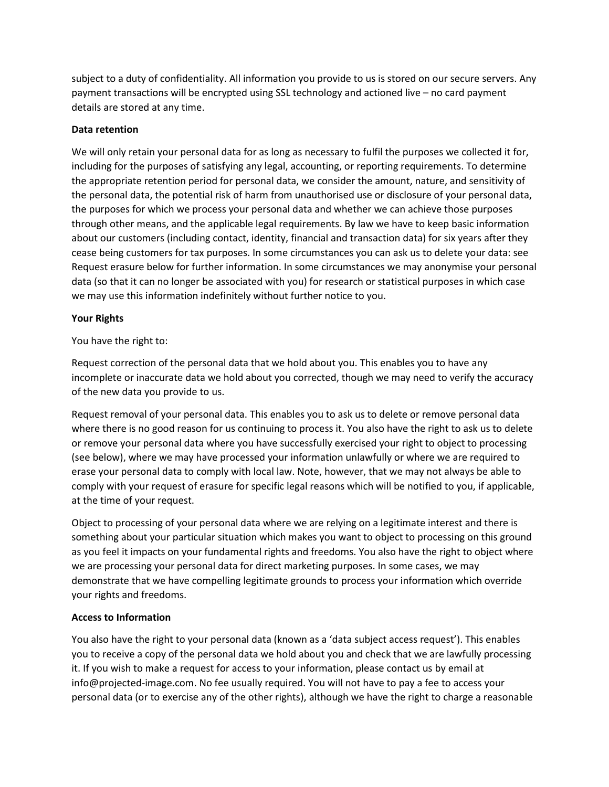subject to a duty of confidentiality. All information you provide to us is stored on our secure servers. Any payment transactions will be encrypted using SSL technology and actioned live – no card payment details are stored at any time.

## **Data retention**

We will only retain your personal data for as long as necessary to fulfil the purposes we collected it for, including for the purposes of satisfying any legal, accounting, or reporting requirements. To determine the appropriate retention period for personal data, we consider the amount, nature, and sensitivity of the personal data, the potential risk of harm from unauthorised use or disclosure of your personal data, the purposes for which we process your personal data and whether we can achieve those purposes through other means, and the applicable legal requirements. By law we have to keep basic information about our customers (including contact, identity, financial and transaction data) for six years after they cease being customers for tax purposes. In some circumstances you can ask us to delete your data: see Request erasure below for further information. In some circumstances we may anonymise your personal data (so that it can no longer be associated with you) for research or statistical purposes in which case we may use this information indefinitely without further notice to you.

## **Your Rights**

You have the right to:

Request correction of the personal data that we hold about you. This enables you to have any incomplete or inaccurate data we hold about you corrected, though we may need to verify the accuracy of the new data you provide to us.

Request removal of your personal data. This enables you to ask us to delete or remove personal data where there is no good reason for us continuing to process it. You also have the right to ask us to delete or remove your personal data where you have successfully exercised your right to object to processing (see below), where we may have processed your information unlawfully or where we are required to erase your personal data to comply with local law. Note, however, that we may not always be able to comply with your request of erasure for specific legal reasons which will be notified to you, if applicable, at the time of your request.

Object to processing of your personal data where we are relying on a legitimate interest and there is something about your particular situation which makes you want to object to processing on this ground as you feel it impacts on your fundamental rights and freedoms. You also have the right to object where we are processing your personal data for direct marketing purposes. In some cases, we may demonstrate that we have compelling legitimate grounds to process your information which override your rights and freedoms.

#### **Access to Information**

You also have the right to your personal data (known as a 'data subject access request'). This enables you to receive a copy of the personal data we hold about you and check that we are lawfully processing it. If you wish to make a request for access to your information, please contact us by email at info@projected-image.com. No fee usually required. You will not have to pay a fee to access your personal data (or to exercise any of the other rights), although we have the right to charge a reasonable